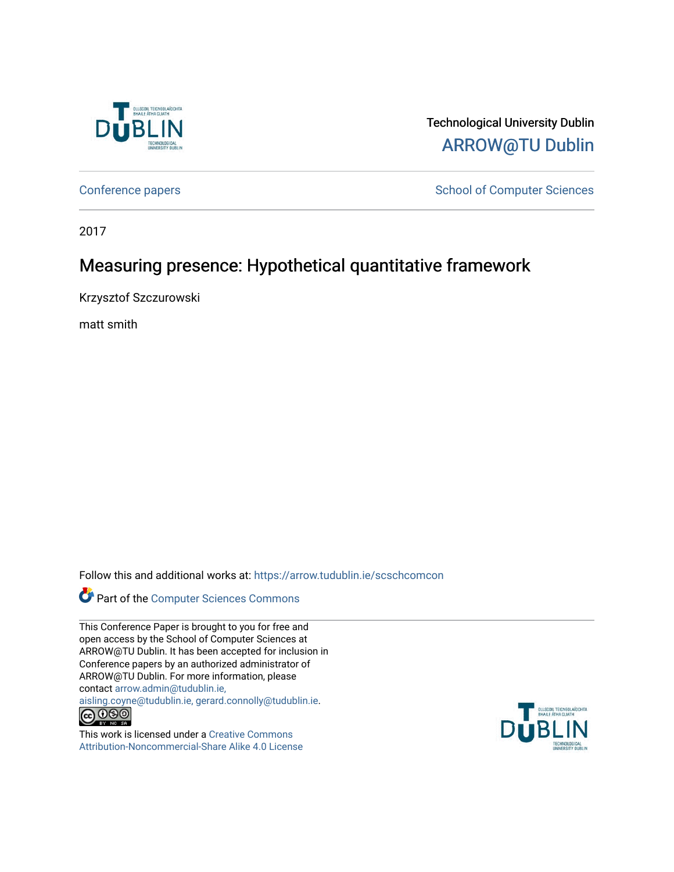

Technological University Dublin [ARROW@TU Dublin](https://arrow.tudublin.ie/) 

[Conference papers](https://arrow.tudublin.ie/scschcomcon) **School of Computer Sciences** School of Computer Sciences

2017

# Measuring presence: Hypothetical quantitative framework

Krzysztof Szczurowski

matt smith

Follow this and additional works at: [https://arrow.tudublin.ie/scschcomcon](https://arrow.tudublin.ie/scschcomcon?utm_source=arrow.tudublin.ie%2Fscschcomcon%2F375&utm_medium=PDF&utm_campaign=PDFCoverPages)

Part of the [Computer Sciences Commons](http://network.bepress.com/hgg/discipline/142?utm_source=arrow.tudublin.ie%2Fscschcomcon%2F375&utm_medium=PDF&utm_campaign=PDFCoverPages)

This Conference Paper is brought to you for free and open access by the School of Computer Sciences at ARROW@TU Dublin. It has been accepted for inclusion in Conference papers by an authorized administrator of ARROW@TU Dublin. For more information, please contact [arrow.admin@tudublin.ie,](mailto:arrow.admin@tudublin.ie,%20aisling.coyne@tudublin.ie,%20gerard.connolly@tudublin.ie)  [aisling.coyne@tudublin.ie, gerard.connolly@tudublin.ie](mailto:arrow.admin@tudublin.ie,%20aisling.coyne@tudublin.ie,%20gerard.connolly@tudublin.ie).  $\bigodot$   $\bigodot$   $\bigodot$ 

This work is licensed under a [Creative Commons](http://creativecommons.org/licenses/by-nc-sa/4.0/) [Attribution-Noncommercial-Share Alike 4.0 License](http://creativecommons.org/licenses/by-nc-sa/4.0/)

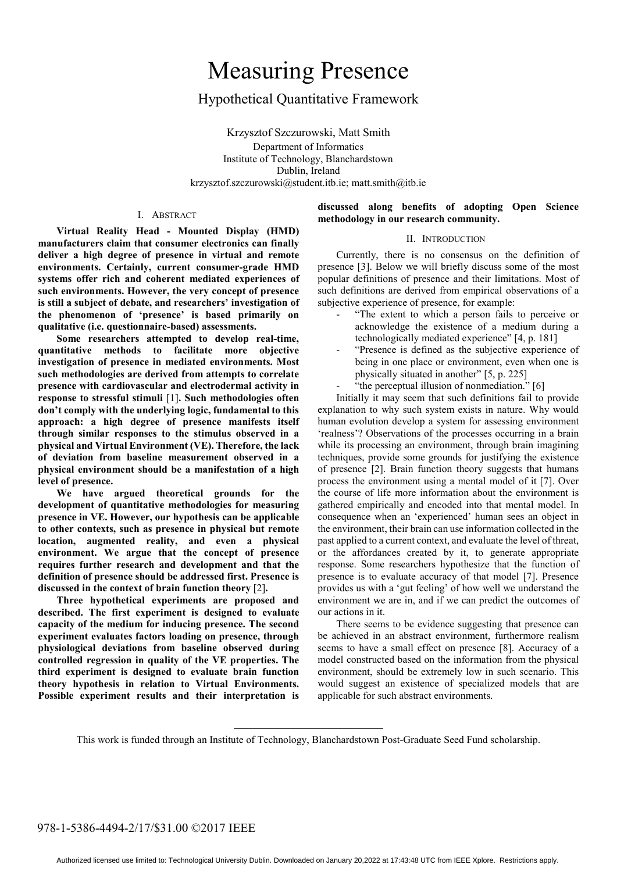# Measuring Presence

Hypothetical Quantitative Framework

Krzysztof Szczurowski, Matt Smith Department of Informatics Institute of Technology, Blanchardstown1 Dublin, Ireland krzysztof.szczurowski@student.itb.ie; matt.smith@itb.ie

### I. ABSTRACT

**Virtual Reality Head - Mounted Display (HMD) manufacturers claim that consumer electronics can finally deliver a high degree of presence in virtual and remote environments. Certainly, current consumer-grade HMD systems offer rich and coherent mediated experiences of such environments. However, the very concept of presence is still a subject of debate, and researchers' investigation of the phenomenon of 'presence' is based primarily on qualitative (i.e. questionnaire-based) assessments.** 

**Some researchers attempted to develop real-time, quantitative methods to facilitate more objective investigation of presence in mediated environments. Most such methodologies are derived from attempts to correlate presence with cardiovascular and electrodermal activity in response to stressful stimuli** [1]**. Such methodologies often don't comply with the underlying logic, fundamental to this approach: a high degree of presence manifests itself through similar responses to the stimulus observed in a physical and Virtual Environment (VE). Therefore, the lack of deviation from baseline measurement observed in a physical environment should be a manifestation of a high level of presence.** 

**We have argued theoretical grounds for the development of quantitative methodologies for measuring presence in VE. However, our hypothesis can be applicable to other contexts, such as presence in physical but remote location, augmented reality, and even a physical environment. We argue that the concept of presence requires further research and development and that the definition of presence should be addressed first. Presence is discussed in the context of brain function theory** [2]**.** 

**Three hypothetical experiments are proposed and described. The first experiment is designed to evaluate capacity of the medium for inducing presence. The second experiment evaluates factors loading on presence, through physiological deviations from baseline observed during controlled regression in quality of the VE properties. The third experiment is designed to evaluate brain function theory hypothesis in relation to Virtual Environments. Possible experiment results and their interpretation is** 

# **discussed along benefits of adopting Open Science methodology in our research community.**

#### II. INTRODUCTION

Currently, there is no consensus on the definition of presence [3]. Below we will briefly discuss some of the most popular definitions of presence and their limitations. Most of such definitions are derived from empirical observations of a subjective experience of presence, for example:

- "The extent to which a person fails to perceive or acknowledge the existence of a medium during a technologically mediated experience" [4, p. 181]
- "Presence is defined as the subjective experience of being in one place or environment, even when one is physically situated in another" [5, p. 225]
- "the perceptual illusion of nonmediation." [6]

Initially it may seem that such definitions fail to provide explanation to why such system exists in nature. Why would human evolution develop a system for assessing environment 'realness'? Observations of the processes occurring in a brain while its processing an environment, through brain imagining techniques, provide some grounds for justifying the existence of presence [2]. Brain function theory suggests that humans process the environment using a mental model of it [7]. Over the course of life more information about the environment is gathered empirically and encoded into that mental model. In consequence when an 'experienced' human sees an object in the environment, their brain can use information collected in the past applied to a current context, and evaluate the level of threat, or the affordances created by it, to generate appropriate response. Some researchers hypothesize that the function of presence is to evaluate accuracy of that model [7]. Presence provides us with a 'gut feeling' of how well we understand the environment we are in, and if we can predict the outcomes of our actions in it.

There seems to be evidence suggesting that presence can be achieved in an abstract environment, furthermore realism seems to have a small effect on presence [8]. Accuracy of a model constructed based on the information from the physical environment, should be extremely low in such scenario. This would suggest an existence of specialized models that are applicable for such abstract environments.

This work is funded through an Institute of Technology, Blanchardstown Post-Graduate Seed Fund scholarship.

-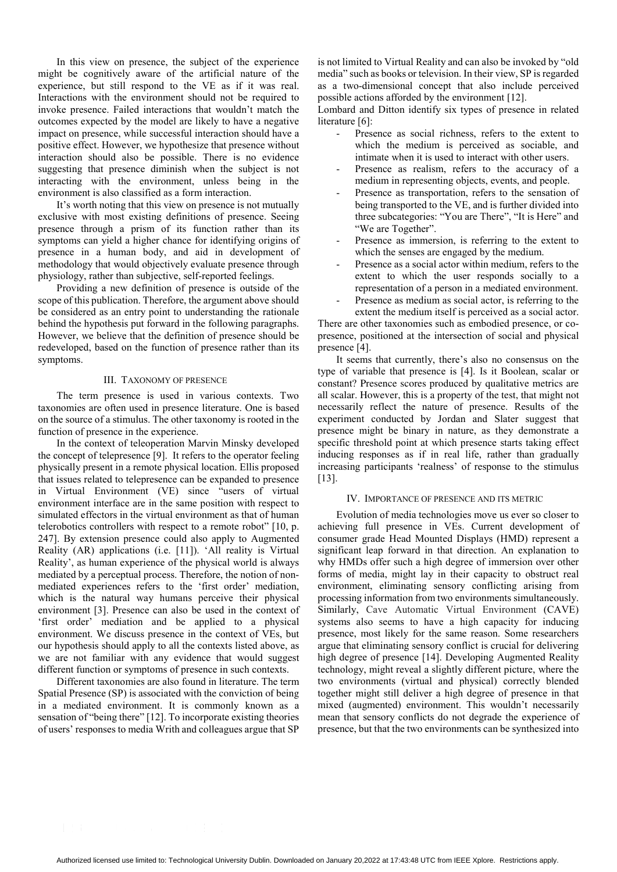In this view on presence, the subject of the experience might be cognitively aware of the artificial nature of the experience, but still respond to the VE as if it was real. Interactions with the environment should not be required to invoke presence. Failed interactions that wouldn't match the outcomes expected by the model are likely to have a negative impact on presence, while successful interaction should have a positive effect. However, we hypothesize that presence without interaction should also be possible. There is no evidence suggesting that presence diminish when the subject is not interacting with the environment, unless being in the environment is also classified as a form interaction.

It's worth noting that this view on presence is not mutually exclusive with most existing definitions of presence. Seeing presence through a prism of its function rather than its symptoms can yield a higher chance for identifying origins of presence in a human body, and aid in development of methodology that would objectively evaluate presence through physiology, rather than subjective, self-reported feelings.

Providing a new definition of presence is outside of the scope of this publication. Therefore, the argument above should be considered as an entry point to understanding the rationale behind the hypothesis put forward in the following paragraphs. However, we believe that the definition of presence should be redeveloped, based on the function of presence rather than its symptoms.

#### III. TAXONOMY OF PRESENCE

The term presence is used in various contexts. Two taxonomies are often used in presence literature. One is based on the source of a stimulus. The other taxonomy is rooted in the function of presence in the experience.

In the context of teleoperation Marvin Minsky developed the concept of telepresence [9]. It refers to the operator feeling physically present in a remote physical location. Ellis proposed that issues related to telepresence can be expanded to presence in Virtual Environment (VE) since "users of virtual environment interface are in the same position with respect to simulated effectors in the virtual environment as that of human telerobotics controllers with respect to a remote robot" [10, p. 247]. By extension presence could also apply to Augmented Reality (AR) applications (i.e. [11]). 'All reality is Virtual Reality', as human experience of the physical world is always mediated by a perceptual process. Therefore, the notion of nonmediated experiences refers to the 'first order' mediation, which is the natural way humans perceive their physical environment [3]. Presence can also be used in the context of 'first order' mediation and be applied to a physical environment. We discuss presence in the context of VEs, but our hypothesis should apply to all the contexts listed above, as we are not familiar with any evidence that would suggest different function or symptoms of presence in such contexts.

Different taxonomies are also found in literature. The term Spatial Presence (SP) is associated with the conviction of being in a mediated environment. It is commonly known as a sensation of "being there" [12]. To incorporate existing theories of users' responses to media Writh and colleagues argue that SP is not limited to Virtual Reality and can also be invoked by "old media" such as books or television. In their view, SP is regarded as a two-dimensional concept that also include perceived possible actions afforded by the environment [12].

Lombard and Ditton identify six types of presence in related literature [6]:

- Presence as social richness, refers to the extent to which the medium is perceived as sociable, and intimate when it is used to interact with other users.
- Presence as realism, refers to the accuracy of a medium in representing objects, events, and people.
- Presence as transportation, refers to the sensation of being transported to the VE, and is further divided into three subcategories: "You are There", "It is Here" and "We are Together".
- Presence as immersion, is referring to the extent to which the senses are engaged by the medium.
- Presence as a social actor within medium, refers to the extent to which the user responds socially to a representation of a person in a mediated environment.
- Presence as medium as social actor, is referring to the extent the medium itself is perceived as a social actor.

There are other taxonomies such as embodied presence, or copresence, positioned at the intersection of social and physical presence [4].

It seems that currently, there's also no consensus on the type of variable that presence is [4]. Is it Boolean, scalar or constant? Presence scores produced by qualitative metrics are all scalar. However, this is a property of the test, that might not necessarily reflect the nature of presence. Results of the experiment conducted by Jordan and Slater suggest that presence might be binary in nature, as they demonstrate a specific threshold point at which presence starts taking effect inducing responses as if in real life, rather than gradually increasing participants 'realness' of response to the stimulus [13].

#### IV. IMPORTANCE OF PRESENCE AND ITS METRIC

Evolution of media technologies move us ever so closer to achieving full presence in VEs. Current development of consumer grade Head Mounted Displays (HMD) represent a significant leap forward in that direction. An explanation to why HMDs offer such a high degree of immersion over other forms of media, might lay in their capacity to obstruct real environment, eliminating sensory conflicting arising from processing information from two environments simultaneously. Similarly, Cave Automatic Virtual Environment (CAVE) systems also seems to have a high capacity for inducing presence, most likely for the same reason. Some researchers argue that eliminating sensory conflict is crucial for delivering high degree of presence [14]. Developing Augmented Reality technology, might reveal a slightly different picture, where the two environments (virtual and physical) correctly blended together might still deliver a high degree of presence in that mixed (augmented) environment. This wouldn't necessarily mean that sensory conflicts do not degrade the experience of presence, but that the two environments can be synthesized into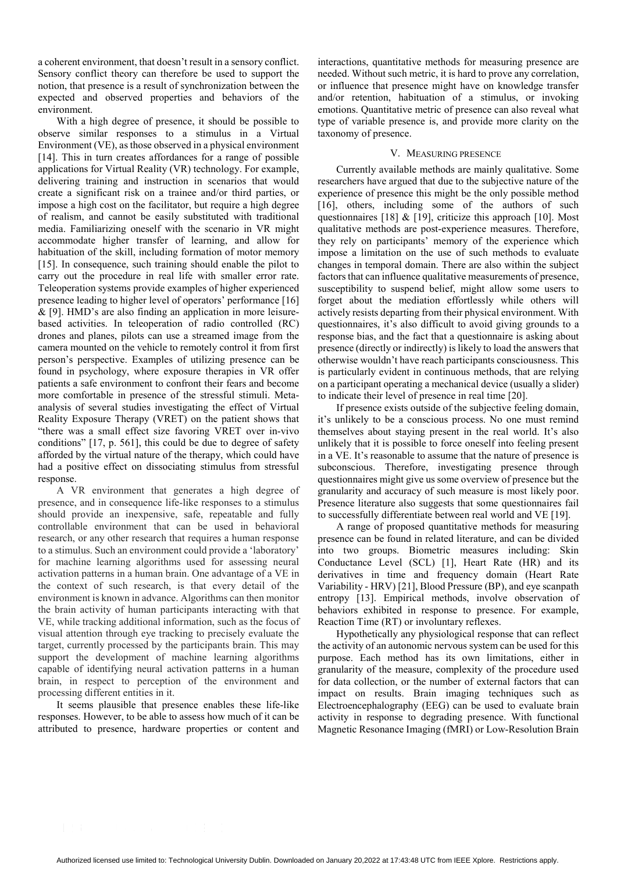a coherent environment, that doesn't result in a sensory conflict. Sensory conflict theory can therefore be used to support the notion, that presence is a result of synchronization between the expected and observed properties and behaviors of the environment.

With a high degree of presence, it should be possible to observe similar responses to a stimulus in a Virtual Environment (VE), as those observed in a physical environment [14]. This in turn creates affordances for a range of possible applications for Virtual Reality (VR) technology. For example, delivering training and instruction in scenarios that would create a significant risk on a trainee and/or third parties, or impose a high cost on the facilitator, but require a high degree of realism, and cannot be easily substituted with traditional media. Familiarizing oneself with the scenario in VR might accommodate higher transfer of learning, and allow for habituation of the skill, including formation of motor memory [15]. In consequence, such training should enable the pilot to carry out the procedure in real life with smaller error rate. Teleoperation systems provide examples of higher experienced presence leading to higher level of operators' performance [16] & [9]. HMD's are also finding an application in more leisurebased activities. In teleoperation of radio controlled (RC) drones and planes, pilots can use a streamed image from the camera mounted on the vehicle to remotely control it from first person's perspective. Examples of utilizing presence can be found in psychology, where exposure therapies in VR offer patients a safe environment to confront their fears and become more comfortable in presence of the stressful stimuli. Metaanalysis of several studies investigating the effect of Virtual Reality Exposure Therapy (VRET) on the patient shows that "there was a small effect size favoring VRET over in-vivo conditions" [17, p. 561], this could be due to degree of safety afforded by the virtual nature of the therapy, which could have had a positive effect on dissociating stimulus from stressful response.

A VR environment that generates a high degree of presence, and in consequence life-like responses to a stimulus should provide an inexpensive, safe, repeatable and fully controllable environment that can be used in behavioral research, or any other research that requires a human response to a stimulus. Such an environment could provide a 'laboratory' for machine learning algorithms used for assessing neural activation patterns in a human brain. One advantage of a VE in the context of such research, is that every detail of the environment is known in advance. Algorithms can then monitor the brain activity of human participants interacting with that VE, while tracking additional information, such as the focus of visual attention through eye tracking to precisely evaluate the target, currently processed by the participants brain. This may support the development of machine learning algorithms capable of identifying neural activation patterns in a human brain, in respect to perception of the environment and processing different entities in it.

It seems plausible that presence enables these life-like responses. However, to be able to assess how much of it can be attributed to presence, hardware properties or content and

interactions, quantitative methods for measuring presence are needed. Without such metric, it is hard to prove any correlation, or influence that presence might have on knowledge transfer and/or retention, habituation of a stimulus, or invoking emotions. Quantitative metric of presence can also reveal what type of variable presence is, and provide more clarity on the taxonomy of presence.

# V. MEASURING PRESENCE

Currently available methods are mainly qualitative. Some researchers have argued that due to the subjective nature of the experience of presence this might be the only possible method [16], others, including some of the authors of such questionnaires [18]  $&$  [19], criticize this approach [10]. Most qualitative methods are post-experience measures. Therefore, they rely on participants' memory of the experience which impose a limitation on the use of such methods to evaluate changes in temporal domain. There are also within the subject factors that can influence qualitative measurements of presence, susceptibility to suspend belief, might allow some users to forget about the mediation effortlessly while others will actively resists departing from their physical environment. With questionnaires, it's also difficult to avoid giving grounds to a response bias, and the fact that a questionnaire is asking about presence (directly or indirectly) is likely to load the answers that otherwise wouldn't have reach participants consciousness. This is particularly evident in continuous methods, that are relying on a participant operating a mechanical device (usually a slider) to indicate their level of presence in real time [20].

If presence exists outside of the subjective feeling domain, it's unlikely to be a conscious process. No one must remind themselves about staying present in the real world. It's also unlikely that it is possible to force oneself into feeling present in a VE. It's reasonable to assume that the nature of presence is subconscious. Therefore, investigating presence through questionnaires might give us some overview of presence but the granularity and accuracy of such measure is most likely poor. Presence literature also suggests that some questionnaires fail to successfully differentiate between real world and VE [19].

A range of proposed quantitative methods for measuring presence can be found in related literature, and can be divided into two groups. Biometric measures including: Skin Conductance Level (SCL) [1], Heart Rate (HR) and its derivatives in time and frequency domain (Heart Rate Variability - HRV) [21], Blood Pressure (BP), and eye scanpath entropy [13]. Empirical methods, involve observation of behaviors exhibited in response to presence. For example, Reaction Time (RT) or involuntary reflexes.

Hypothetically any physiological response that can reflect the activity of an autonomic nervous system can be used for this purpose. Each method has its own limitations, either in granularity of the measure, complexity of the procedure used for data collection, or the number of external factors that can impact on results. Brain imaging techniques such as Electroencephalography (EEG) can be used to evaluate brain activity in response to degrading presence. With functional Magnetic Resonance Imaging (fMRI) or Low-Resolution Brain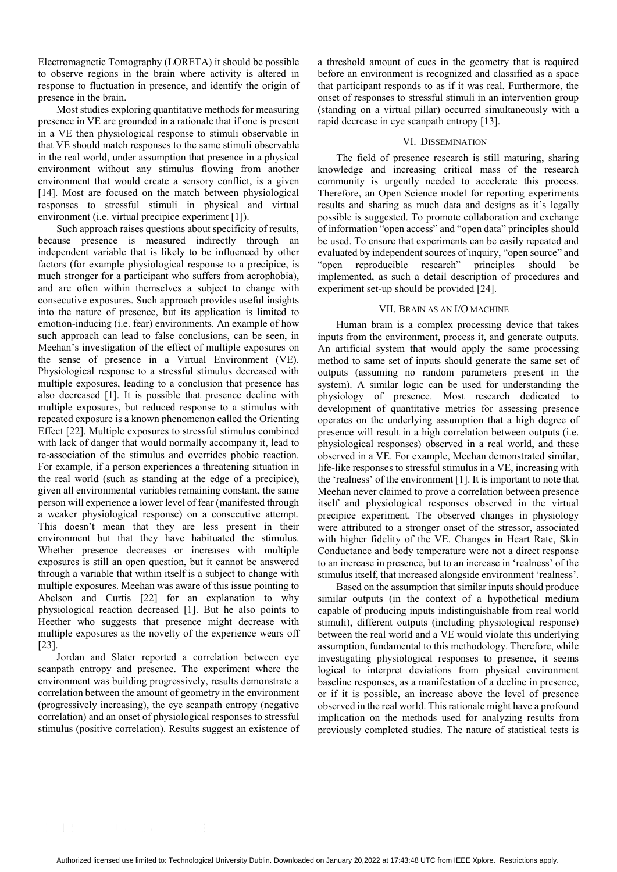Electromagnetic Tomography (LORETA) it should be possible to observe regions in the brain where activity is altered in response to fluctuation in presence, and identify the origin of presence in the brain.

Most studies exploring quantitative methods for measuring presence in VE are grounded in a rationale that if one is present in a VE then physiological response to stimuli observable in that VE should match responses to the same stimuli observable in the real world, under assumption that presence in a physical environment without any stimulus flowing from another environment that would create a sensory conflict, is a given [14]. Most are focused on the match between physiological responses to stressful stimuli in physical and virtual environment (i.e. virtual precipice experiment [1]).

Such approach raises questions about specificity of results, because presence is measured indirectly through an independent variable that is likely to be influenced by other factors (for example physiological response to a precipice, is much stronger for a participant who suffers from acrophobia), and are often within themselves a subject to change with consecutive exposures. Such approach provides useful insights into the nature of presence, but its application is limited to emotion-inducing (i.e. fear) environments. An example of how such approach can lead to false conclusions, can be seen, in Meehan's investigation of the effect of multiple exposures on the sense of presence in a Virtual Environment (VE). Physiological response to a stressful stimulus decreased with multiple exposures, leading to a conclusion that presence has also decreased [1]. It is possible that presence decline with multiple exposures, but reduced response to a stimulus with repeated exposure is a known phenomenon called the Orienting Effect [22]. Multiple exposures to stressful stimulus combined with lack of danger that would normally accompany it, lead to re-association of the stimulus and overrides phobic reaction. For example, if a person experiences a threatening situation in the real world (such as standing at the edge of a precipice), given all environmental variables remaining constant, the same person will experience a lower level of fear (manifested through a weaker physiological response) on a consecutive attempt. This doesn't mean that they are less present in their environment but that they have habituated the stimulus. Whether presence decreases or increases with multiple exposures is still an open question, but it cannot be answered through a variable that within itself is a subject to change with multiple exposures. Meehan was aware of this issue pointing to Abelson and Curtis [22] for an explanation to why physiological reaction decreased [1]. But he also points to Heether who suggests that presence might decrease with multiple exposures as the novelty of the experience wears off [23].

Jordan and Slater reported a correlation between eye scanpath entropy and presence. The experiment where the environment was building progressively, results demonstrate a correlation between the amount of geometry in the environment (progressively increasing), the eye scanpath entropy (negative correlation) and an onset of physiological responses to stressful stimulus (positive correlation). Results suggest an existence of a threshold amount of cues in the geometry that is required before an environment is recognized and classified as a space that participant responds to as if it was real. Furthermore, the onset of responses to stressful stimuli in an intervention group (standing on a virtual pillar) occurred simultaneously with a rapid decrease in eye scanpath entropy [13].

# VI. DISSEMINATION

The field of presence research is still maturing, sharing knowledge and increasing critical mass of the research community is urgently needed to accelerate this process. Therefore, an Open Science model for reporting experiments results and sharing as much data and designs as it's legally possible is suggested. To promote collaboration and exchange of information "open access" and "open data" principles should be used. To ensure that experiments can be easily repeated and evaluated by independent sources of inquiry, "open source" and "open reproducible research" principles should be implemented, as such a detail description of procedures and experiment set-up should be provided [24].

# VII. BRAIN AS AN I/O MACHINE

Human brain is a complex processing device that takes inputs from the environment, process it, and generate outputs. An artificial system that would apply the same processing method to same set of inputs should generate the same set of outputs (assuming no random parameters present in the system). A similar logic can be used for understanding the physiology of presence. Most research dedicated to development of quantitative metrics for assessing presence operates on the underlying assumption that a high degree of presence will result in a high correlation between outputs (i.e. physiological responses) observed in a real world, and these observed in a VE. For example, Meehan demonstrated similar, life-like responses to stressful stimulus in a VE, increasing with the 'realness' of the environment [1]. It is important to note that Meehan never claimed to prove a correlation between presence itself and physiological responses observed in the virtual precipice experiment. The observed changes in physiology were attributed to a stronger onset of the stressor, associated with higher fidelity of the VE. Changes in Heart Rate, Skin Conductance and body temperature were not a direct response to an increase in presence, but to an increase in 'realness' of the stimulus itself, that increased alongside environment 'realness'.

Based on the assumption that similar inputs should produce similar outputs (in the context of a hypothetical medium capable of producing inputs indistinguishable from real world stimuli), different outputs (including physiological response) between the real world and a VE would violate this underlying assumption, fundamental to this methodology. Therefore, while investigating physiological responses to presence, it seems logical to interpret deviations from physical environment baseline responses, as a manifestation of a decline in presence, or if it is possible, an increase above the level of presence observed in the real world. This rationale might have a profound implication on the methods used for analyzing results from previously completed studies. The nature of statistical tests is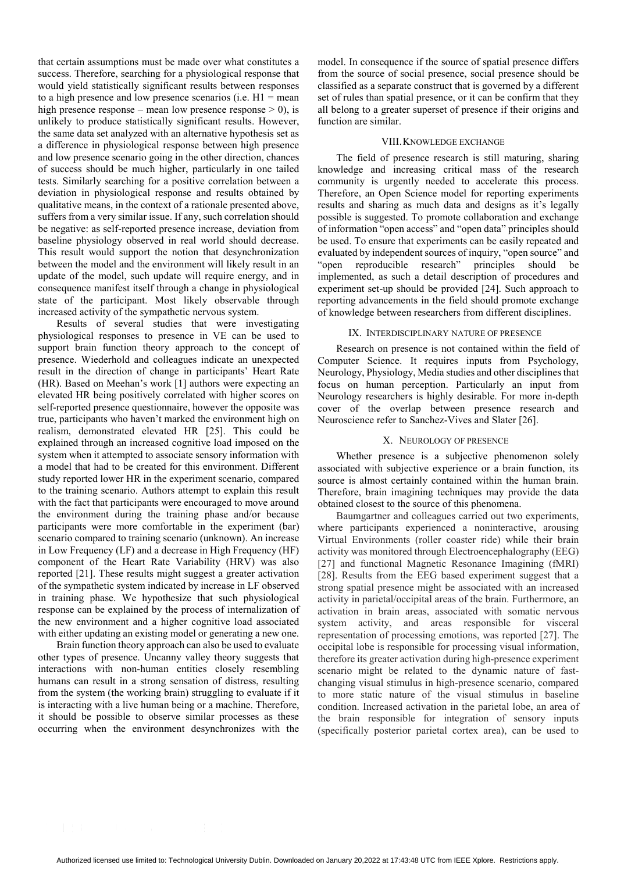that certain assumptions must be made over what constitutes a success. Therefore, searching for a physiological response that would yield statistically significant results between responses to a high presence and low presence scenarios (i.e.  $H1 = \text{mean}$ ) high presence response – mean low presence response  $> 0$ ), is unlikely to produce statistically significant results. However, the same data set analyzed with an alternative hypothesis set as a difference in physiological response between high presence and low presence scenario going in the other direction, chances of success should be much higher, particularly in one tailed tests. Similarly searching for a positive correlation between a deviation in physiological response and results obtained by qualitative means, in the context of a rationale presented above, suffers from a very similar issue. If any, such correlation should be negative: as self-reported presence increase, deviation from baseline physiology observed in real world should decrease. This result would support the notion that desynchronization between the model and the environment will likely result in an update of the model, such update will require energy, and in consequence manifest itself through a change in physiological state of the participant. Most likely observable through increased activity of the sympathetic nervous system.

Results of several studies that were investigating physiological responses to presence in VE can be used to support brain function theory approach to the concept of presence. Wiederhold and colleagues indicate an unexpected result in the direction of change in participants' Heart Rate (HR). Based on Meehan's work [1] authors were expecting an elevated HR being positively correlated with higher scores on self-reported presence questionnaire, however the opposite was true, participants who haven't marked the environment high on realism, demonstrated elevated HR [25]. This could be explained through an increased cognitive load imposed on the system when it attempted to associate sensory information with a model that had to be created for this environment. Different study reported lower HR in the experiment scenario, compared to the training scenario. Authors attempt to explain this result with the fact that participants were encouraged to move around the environment during the training phase and/or because participants were more comfortable in the experiment (bar) scenario compared to training scenario (unknown). An increase in Low Frequency (LF) and a decrease in High Frequency (HF) component of the Heart Rate Variability (HRV) was also reported [21]. These results might suggest a greater activation of the sympathetic system indicated by increase in LF observed in training phase. We hypothesize that such physiological response can be explained by the process of internalization of the new environment and a higher cognitive load associated with either updating an existing model or generating a new one.

Brain function theory approach can also be used to evaluate other types of presence. Uncanny valley theory suggests that interactions with non-human entities closely resembling humans can result in a strong sensation of distress, resulting from the system (the working brain) struggling to evaluate if it is interacting with a live human being or a machine. Therefore, it should be possible to observe similar processes as these occurring when the environment desynchronizes with the

model. In consequence if the source of spatial presence differs from the source of social presence, social presence should be classified as a separate construct that is governed by a different set of rules than spatial presence, or it can be confirm that they all belong to a greater superset of presence if their origins and function are similar.

### VIII.KNOWLEDGE EXCHANGE

The field of presence research is still maturing, sharing knowledge and increasing critical mass of the research community is urgently needed to accelerate this process. Therefore, an Open Science model for reporting experiments results and sharing as much data and designs as it's legally possible is suggested. To promote collaboration and exchange of information "open access" and "open data" principles should be used. To ensure that experiments can be easily repeated and evaluated by independent sources of inquiry, "open source" and "open reproducible research" principles should be implemented, as such a detail description of procedures and experiment set-up should be provided [24]. Such approach to reporting advancements in the field should promote exchange of knowledge between researchers from different disciplines.

### IX. INTERDISCIPLINARY NATURE OF PRESENCE

Research on presence is not contained within the field of Computer Science. It requires inputs from Psychology, Neurology, Physiology, Media studies and other disciplines that focus on human perception. Particularly an input from Neurology researchers is highly desirable. For more in-depth cover of the overlap between presence research and Neuroscience refer to Sanchez-Vives and Slater [26].

# X. NEUROLOGY OF PRESENCE

Whether presence is a subjective phenomenon solely associated with subjective experience or a brain function, its source is almost certainly contained within the human brain. Therefore, brain imagining techniques may provide the data obtained closest to the source of this phenomena.

Baumgartner and colleagues carried out two experiments, where participants experienced a noninteractive, arousing Virtual Environments (roller coaster ride) while their brain activity was monitored through Electroencephalography (EEG) [27] and functional Magnetic Resonance Imagining (fMRI) [28]. Results from the EEG based experiment suggest that a strong spatial presence might be associated with an increased activity in parietal/occipital areas of the brain. Furthermore, an activation in brain areas, associated with somatic nervous system activity, and areas responsible for visceral representation of processing emotions, was reported [27]. The occipital lobe is responsible for processing visual information, therefore its greater activation during high-presence experiment scenario might be related to the dynamic nature of fastchanging visual stimulus in high-presence scenario, compared to more static nature of the visual stimulus in baseline condition. Increased activation in the parietal lobe, an area of the brain responsible for integration of sensory inputs (specifically posterior parietal cortex area), can be used to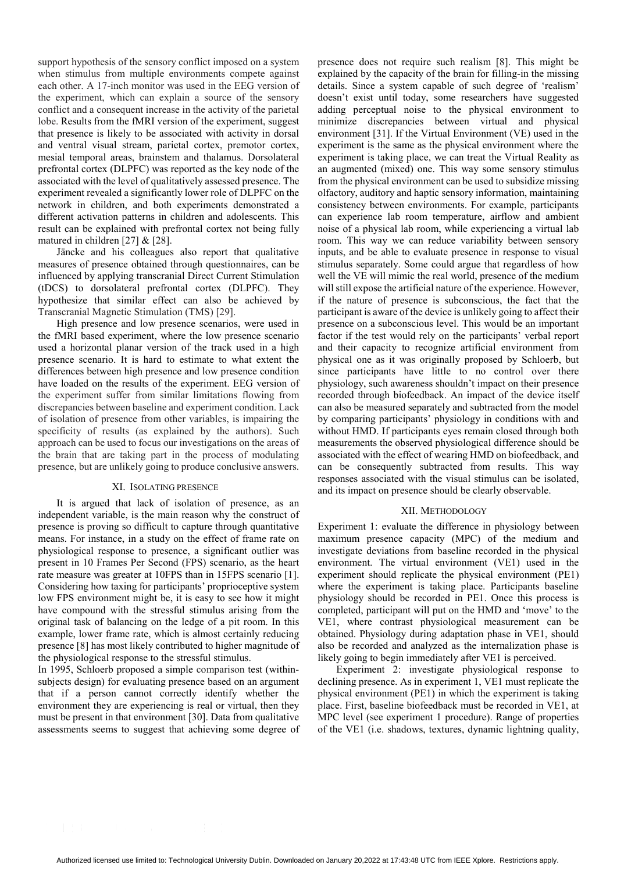support hypothesis of the sensory conflict imposed on a system when stimulus from multiple environments compete against each other. A 17-inch monitor was used in the EEG version of the experiment, which can explain a source of the sensory conflict and a consequent increase in the activity of the parietal lobe. Results from the fMRI version of the experiment, suggest that presence is likely to be associated with activity in dorsal and ventral visual stream, parietal cortex, premotor cortex, mesial temporal areas, brainstem and thalamus. Dorsolateral prefrontal cortex (DLPFC) was reported as the key node of the associated with the level of qualitatively assessed presence. The experiment revealed a significantly lower role of DLPFC on the network in children, and both experiments demonstrated a different activation patterns in children and adolescents. This result can be explained with prefrontal cortex not being fully matured in children [27] & [28].

Jäncke and his colleagues also report that qualitative measures of presence obtained through questionnaires, can be influenced by applying transcranial Direct Current Stimulation (tDCS) to dorsolateral prefrontal cortex (DLPFC). They hypothesize that similar effect can also be achieved by Transcranial Magnetic Stimulation (TMS) [29].

High presence and low presence scenarios, were used in the fMRI based experiment, where the low presence scenario used a horizontal planar version of the track used in a high presence scenario. It is hard to estimate to what extent the differences between high presence and low presence condition have loaded on the results of the experiment. EEG version of the experiment suffer from similar limitations flowing from discrepancies between baseline and experiment condition. Lack of isolation of presence from other variables, is impairing the specificity of results (as explained by the authors). Such approach can be used to focus our investigations on the areas of the brain that are taking part in the process of modulating presence, but are unlikely going to produce conclusive answers.

#### XI. ISOLATING PRESENCE

It is argued that lack of isolation of presence, as an independent variable, is the main reason why the construct of presence is proving so difficult to capture through quantitative means. For instance, in a study on the effect of frame rate on physiological response to presence, a significant outlier was present in 10 Frames Per Second (FPS) scenario, as the heart rate measure was greater at 10FPS than in 15FPS scenario [1]. Considering how taxing for participants' proprioceptive system low FPS environment might be, it is easy to see how it might have compound with the stressful stimulus arising from the original task of balancing on the ledge of a pit room. In this example, lower frame rate, which is almost certainly reducing presence [8] has most likely contributed to higher magnitude of the physiological response to the stressful stimulus.

In 1995, Schloerb proposed a simple comparison test (withinsubjects design) for evaluating presence based on an argument that if a person cannot correctly identify whether the environment they are experiencing is real or virtual, then they must be present in that environment [30]. Data from qualitative assessments seems to suggest that achieving some degree of presence does not require such realism [8]. This might be explained by the capacity of the brain for filling-in the missing details. Since a system capable of such degree of 'realism' doesn't exist until today, some researchers have suggested adding perceptual noise to the physical environment to minimize discrepancies between virtual and physical environment [31]. If the Virtual Environment (VE) used in the experiment is the same as the physical environment where the experiment is taking place, we can treat the Virtual Reality as an augmented (mixed) one. This way some sensory stimulus from the physical environment can be used to subsidize missing olfactory, auditory and haptic sensory information, maintaining consistency between environments. For example, participants can experience lab room temperature, airflow and ambient noise of a physical lab room, while experiencing a virtual lab room. This way we can reduce variability between sensory inputs, and be able to evaluate presence in response to visual stimulus separately. Some could argue that regardless of how well the VE will mimic the real world, presence of the medium will still expose the artificial nature of the experience. However, if the nature of presence is subconscious, the fact that the participant is aware of the device is unlikely going to affect their presence on a subconscious level. This would be an important factor if the test would rely on the participants' verbal report and their capacity to recognize artificial environment from physical one as it was originally proposed by Schloerb, but since participants have little to no control over there physiology, such awareness shouldn't impact on their presence recorded through biofeedback. An impact of the device itself can also be measured separately and subtracted from the model by comparing participants' physiology in conditions with and without HMD. If participants eyes remain closed through both measurements the observed physiological difference should be associated with the effect of wearing HMD on biofeedback, and can be consequently subtracted from results. This way responses associated with the visual stimulus can be isolated, and its impact on presence should be clearly observable.

# XII. METHODOLOGY

Experiment 1: evaluate the difference in physiology between maximum presence capacity (MPC) of the medium and investigate deviations from baseline recorded in the physical environment. The virtual environment (VE1) used in the experiment should replicate the physical environment (PE1) where the experiment is taking place. Participants baseline physiology should be recorded in PE1. Once this process is completed, participant will put on the HMD and 'move' to the VE1, where contrast physiological measurement can be obtained. Physiology during adaptation phase in VE1, should also be recorded and analyzed as the internalization phase is likely going to begin immediately after VE1 is perceived.

Experiment 2: investigate physiological response to declining presence. As in experiment 1, VE1 must replicate the physical environment (PE1) in which the experiment is taking place. First, baseline biofeedback must be recorded in VE1, at MPC level (see experiment 1 procedure). Range of properties of the VE1 (i.e. shadows, textures, dynamic lightning quality,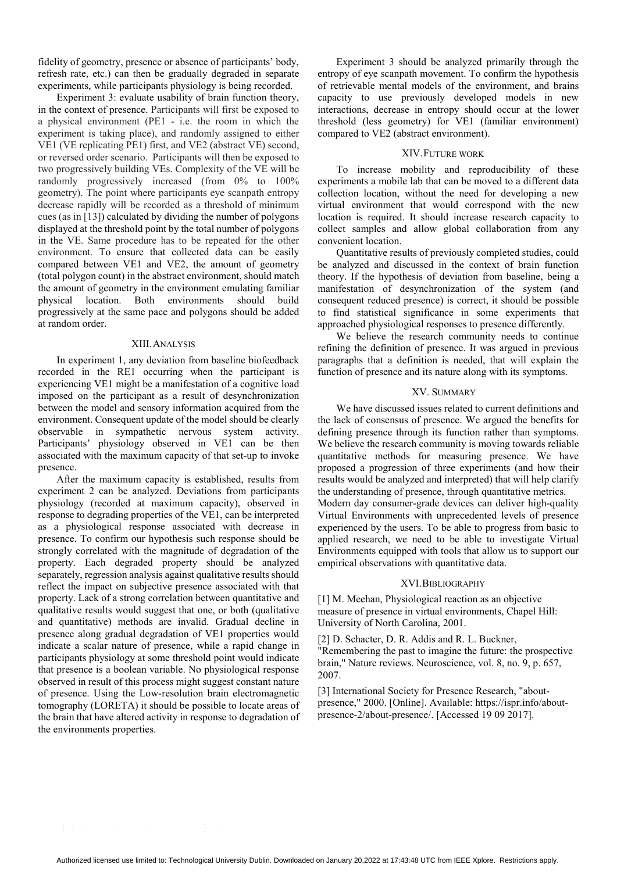fidelity of geometry, presence or absence of participants' body, refresh rate, etc.) can then be gradually degraded in separate experiments, while participants physiology is being recorded.

Experiment 3: evaluate usability of brain function theory, in the context of presence. Participants will first be exposed to a physical environment (PE1 - i.e. the room in which the experiment is taking place), and randomly assigned to either VE1 (VE replicating PE1) first, and VE2 (abstract VE) second, or reversed order scenario. Participants will then be exposed to two progressively building VEs. Complexity of the VE will be randomly progressively increased (from 0% to 100% geometry). The point where participants eye scanpath entropy decrease rapidly will be recorded as a threshold of minimum cues (as in [13]) calculated by dividing the number of polygons displayed at the threshold point by the total number of polygons in the VE. Same procedure has to be repeated for the other environment. To ensure that collected data can be easily compared between VE1 and VE2, the amount of geometry (total polygon count) in the abstract environment, should match the amount of geometry in the environment emulating familiar physical location. Both environments should build progressively at the same pace and polygons should be added at random order.

### XIII.ANALYSIS

In experiment 1, any deviation from baseline biofeedback recorded in the RE1 occurring when the participant is experiencing VE1 might be a manifestation of a cognitive load imposed on the participant as a result of desynchronization between the model and sensory information acquired from the environment. Consequent update of the model should be clearly observable in sympathetic nervous system activity. Participants' physiology observed in VE1 can be then associated with the maximum capacity of that set-up to invoke presence.

After the maximum capacity is established, results from experiment 2 can be analyzed. Deviations from participants physiology (recorded at maximum capacity), observed in response to degrading properties of the VE1, can be interpreted as a physiological response associated with decrease in presence. To confirm our hypothesis such response should be strongly correlated with the magnitude of degradation of the property. Each degraded property should be analyzed separately, regression analysis against qualitative results should reflect the impact on subjective presence associated with that property. Lack of a strong correlation between quantitative and qualitative results would suggest that one, or both (qualitative and quantitative) methods are invalid. Gradual decline in presence along gradual degradation of VE1 properties would indicate a scalar nature of presence, while a rapid change in participants physiology at some threshold point would indicate that presence is a boolean variable. No physiological response observed in result of this process might suggest constant nature of presence. Using the Low-resolution brain electromagnetic tomography (LORETA) it should be possible to locate areas of the brain that have altered activity in response to degradation of the environments properties.

Experiment 3 should be analyzed primarily through the entropy of eye scanpath movement. To confirm the hypothesis of retrievable mental models of the environment, and brains capacity to use previously developed models in new interactions, decrease in entropy should occur at the lower threshold (less geometry) for VE1 (familiar environment) compared to VE2 (abstract environment).

#### XIV.FUTURE WORK

To increase mobility and reproducibility of these experiments a mobile lab that can be moved to a different data collection location, without the need for developing a new virtual environment that would correspond with the new location is required. It should increase research capacity to collect samples and allow global collaboration from any convenient location.

Quantitative results of previously completed studies, could be analyzed and discussed in the context of brain function theory. If the hypothesis of deviation from baseline, being a manifestation of desynchronization of the system (and consequent reduced presence) is correct, it should be possible to find statistical significance in some experiments that approached physiological responses to presence differently.

We believe the research community needs to continue refining the definition of presence. It was argued in previous paragraphs that a definition is needed, that will explain the function of presence and its nature along with its symptoms.

#### XV. SUMMARY

We have discussed issues related to current definitions and the lack of consensus of presence. We argued the benefits for defining presence through its function rather than symptoms. We believe the research community is moving towards reliable quantitative methods for measuring presence. We have proposed a progression of three experiments (and how their results would be analyzed and interpreted) that will help clarify the understanding of presence, through quantitative metrics. Modern day consumer-grade devices can deliver high-quality Virtual Environments with unprecedented levels of presence experienced by the users. To be able to progress from basic to applied research, we need to be able to investigate Virtual Environments equipped with tools that allow us to support our empirical observations with quantitative data.

#### XVI.BIBLIOGRAPHY

[1] M. Meehan, Physiological reaction as an objective measure of presence in virtual environments, Chapel Hill: University of North Carolina, 2001.

[2] D. Schacter, D. R. Addis and R. L. Buckner, "Remembering the past to imagine the future: the prospective brain," Nature reviews. Neuroscience, vol. 8, no. 9, p. 657, 2007.

[3] International Society for Presence Research, "aboutpresence," 2000. [Online]. Available: https://ispr.info/aboutpresence-2/about-presence/. [Accessed 19 09 2017].